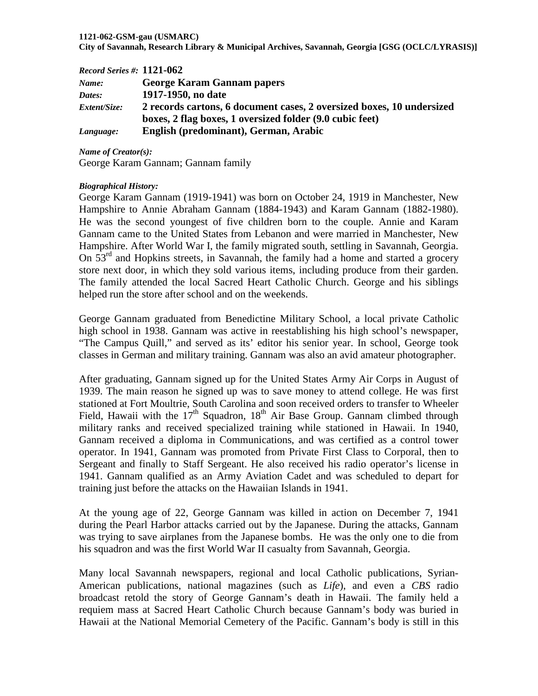#### **1121-062-GSM-gau (USMARC)**

**City of Savannah, Research Library & Municipal Archives, Savannah, Georgia [GSG (OCLC/LYRASIS)]**

| $Record$ Series #: $1121-062$ |                                                                       |
|-------------------------------|-----------------------------------------------------------------------|
| Name:                         | <b>George Karam Gannam papers</b>                                     |
| Dates:                        | 1917-1950, no date                                                    |
| <i>Extent/Size:</i>           | 2 records cartons, 6 document cases, 2 oversized boxes, 10 undersized |
|                               | boxes, 2 flag boxes, 1 oversized folder (9.0 cubic feet)              |
| Language:                     | English (predominant), German, Arabic                                 |

*Name of Creator(s):*

George Karam Gannam; Gannam family

#### *Biographical History:*

George Karam Gannam (1919-1941) was born on October 24, 1919 in Manchester, New Hampshire to Annie Abraham Gannam (1884-1943) and Karam Gannam (1882-1980). He was the second youngest of five children born to the couple. Annie and Karam Gannam came to the United States from Lebanon and were married in Manchester, New Hampshire. After World War I, the family migrated south, settling in Savannah, Georgia. On 53<sup>rd</sup> and Hopkins streets, in Savannah, the family had a home and started a grocery store next door, in which they sold various items, including produce from their garden. The family attended the local Sacred Heart Catholic Church. George and his siblings helped run the store after school and on the weekends.

George Gannam graduated from Benedictine Military School, a local private Catholic high school in 1938. Gannam was active in reestablishing his high school's newspaper, "The Campus Quill," and served as its' editor his senior year. In school, George took classes in German and military training. Gannam was also an avid amateur photographer.

After graduating, Gannam signed up for the United States Army Air Corps in August of 1939. The main reason he signed up was to save money to attend college. He was first stationed at Fort Moultrie, South Carolina and soon received orders to transfer to Wheeler Field, Hawaii with the  $17<sup>th</sup>$  Squadron,  $18<sup>th</sup>$  Air Base Group. Gannam climbed through military ranks and received specialized training while stationed in Hawaii. In 1940, Gannam received a diploma in Communications, and was certified as a control tower operator. In 1941, Gannam was promoted from Private First Class to Corporal, then to Sergeant and finally to Staff Sergeant. He also received his radio operator's license in 1941. Gannam qualified as an Army Aviation Cadet and was scheduled to depart for training just before the attacks on the Hawaiian Islands in 1941.

At the young age of 22, George Gannam was killed in action on December 7, 1941 during the Pearl Harbor attacks carried out by the Japanese. During the attacks, Gannam was trying to save airplanes from the Japanese bombs. He was the only one to die from his squadron and was the first World War II casualty from Savannah, Georgia.

Many local Savannah newspapers, regional and local Catholic publications, Syrian-American publications, national magazines (such as *Life*), and even a *CBS* radio broadcast retold the story of George Gannam's death in Hawaii. The family held a requiem mass at Sacred Heart Catholic Church because Gannam's body was buried in Hawaii at the National Memorial Cemetery of the Pacific. Gannam's body is still in this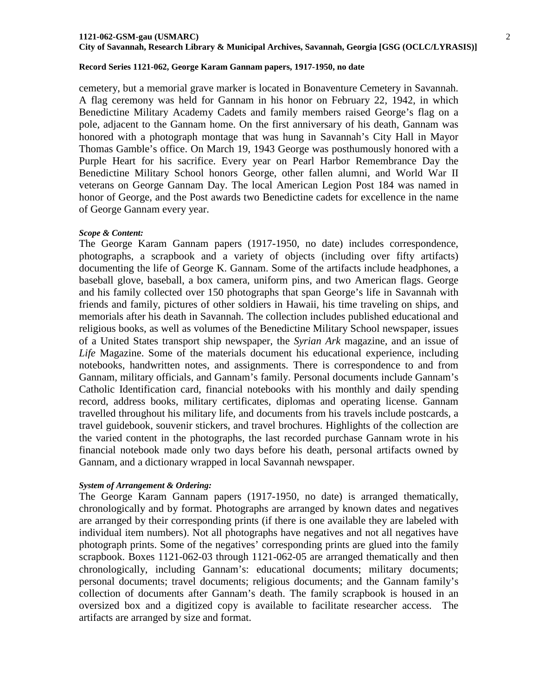#### **1121-062-GSM-gau (USMARC)**

**City of Savannah, Research Library & Municipal Archives, Savannah, Georgia [GSG (OCLC/LYRASIS)]**

#### **Record Series 1121-062, George Karam Gannam papers, 1917-1950, no date**

cemetery, but a memorial grave marker is located in Bonaventure Cemetery in Savannah. A flag ceremony was held for Gannam in his honor on February 22, 1942, in which Benedictine Military Academy Cadets and family members raised George's flag on a pole, adjacent to the Gannam home. On the first anniversary of his death, Gannam was honored with a photograph montage that was hung in Savannah's City Hall in Mayor Thomas Gamble's office. On March 19, 1943 George was posthumously honored with a Purple Heart for his sacrifice. Every year on Pearl Harbor Remembrance Day the Benedictine Military School honors George, other fallen alumni, and World War II veterans on George Gannam Day. The local American Legion Post 184 was named in honor of George, and the Post awards two Benedictine cadets for excellence in the name of George Gannam every year.

#### *Scope & Content:*

The George Karam Gannam papers (1917-1950, no date) includes correspondence, photographs, a scrapbook and a variety of objects (including over fifty artifacts) documenting the life of George K. Gannam. Some of the artifacts include headphones, a baseball glove, baseball, a box camera, uniform pins, and two American flags. George and his family collected over 150 photographs that span George's life in Savannah with friends and family, pictures of other soldiers in Hawaii, his time traveling on ships, and memorials after his death in Savannah. The collection includes published educational and religious books, as well as volumes of the Benedictine Military School newspaper, issues of a United States transport ship newspaper, the *Syrian Ark* magazine, and an issue of *Life* Magazine. Some of the materials document his educational experience, including notebooks, handwritten notes, and assignments. There is correspondence to and from Gannam, military officials, and Gannam's family. Personal documents include Gannam's Catholic Identification card, financial notebooks with his monthly and daily spending record, address books, military certificates, diplomas and operating license. Gannam travelled throughout his military life, and documents from his travels include postcards, a travel guidebook, souvenir stickers, and travel brochures. Highlights of the collection are the varied content in the photographs, the last recorded purchase Gannam wrote in his financial notebook made only two days before his death, personal artifacts owned by Gannam, and a dictionary wrapped in local Savannah newspaper.

#### *System of Arrangement & Ordering:*

The George Karam Gannam papers (1917-1950, no date) is arranged thematically, chronologically and by format. Photographs are arranged by known dates and negatives are arranged by their corresponding prints (if there is one available they are labeled with individual item numbers). Not all photographs have negatives and not all negatives have photograph prints. Some of the negatives' corresponding prints are glued into the family scrapbook. Boxes 1121-062-03 through 1121-062-05 are arranged thematically and then chronologically, including Gannam's: educational documents; military documents; personal documents; travel documents; religious documents; and the Gannam family's collection of documents after Gannam's death. The family scrapbook is housed in an oversized box and a digitized copy is available to facilitate researcher access. The artifacts are arranged by size and format.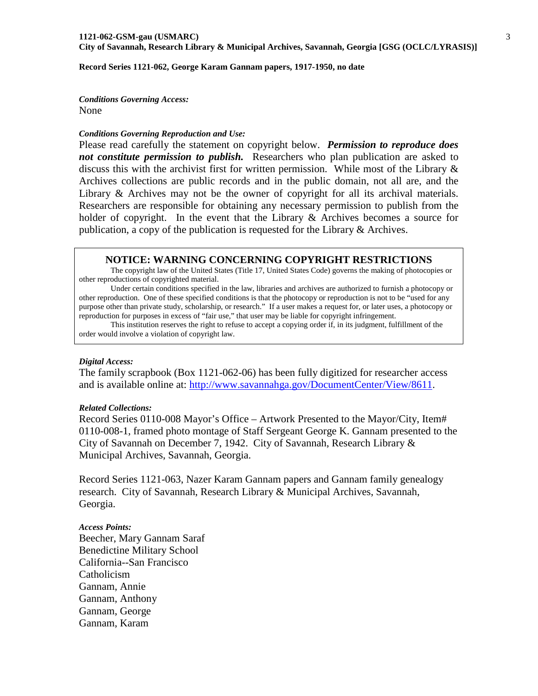**Record Series 1121-062, George Karam Gannam papers, 1917-1950, no date**

*Conditions Governing Access:* None

#### *Conditions Governing Reproduction and Use:*

Please read carefully the statement on copyright below. *Permission to reproduce does not constitute permission to publish.* Researchers who plan publication are asked to discuss this with the archivist first for written permission. While most of the Library & Archives collections are public records and in the public domain, not all are, and the Library & Archives may not be the owner of copyright for all its archival materials. Researchers are responsible for obtaining any necessary permission to publish from the holder of copyright. In the event that the Library & Archives becomes a source for publication, a copy of the publication is requested for the Library & Archives.

#### **NOTICE: WARNING CONCERNING COPYRIGHT RESTRICTIONS**

The copyright law of the United States (Title 17, United States Code) governs the making of photocopies or other reproductions of copyrighted material.

Under certain conditions specified in the law, libraries and archives are authorized to furnish a photocopy or other reproduction. One of these specified conditions is that the photocopy or reproduction is not to be "used for any purpose other than private study, scholarship, or research." If a user makes a request for, or later uses, a photocopy or reproduction for purposes in excess of "fair use," that user may be liable for copyright infringement.

This institution reserves the right to refuse to accept a copying order if, in its judgment, fulfillment of the order would involve a violation of copyright law.

#### *Digital Access:*

The family scrapbook (Box 1121-062-06) has been fully digitized for researcher access and is available online at: [http://www.savannahga.gov/DocumentCenter/View/8611.](http://www.savannahga.gov/DocumentCenter/View/8611)

#### *Related Collections:*

Record Series 0110-008 Mayor's Office – Artwork Presented to the Mayor/City, Item# 0110-008-1, framed photo montage of Staff Sergeant George K. Gannam presented to the City of Savannah on December 7, 1942. City of Savannah, Research Library & Municipal Archives, Savannah, Georgia.

Record Series 1121-063, Nazer Karam Gannam papers and Gannam family genealogy research. City of Savannah, Research Library & Municipal Archives, Savannah, Georgia.

*Access Points:* Beecher, Mary Gannam Saraf Benedictine Military School California--San Francisco Catholicism Gannam, Annie Gannam, Anthony Gannam, George Gannam, Karam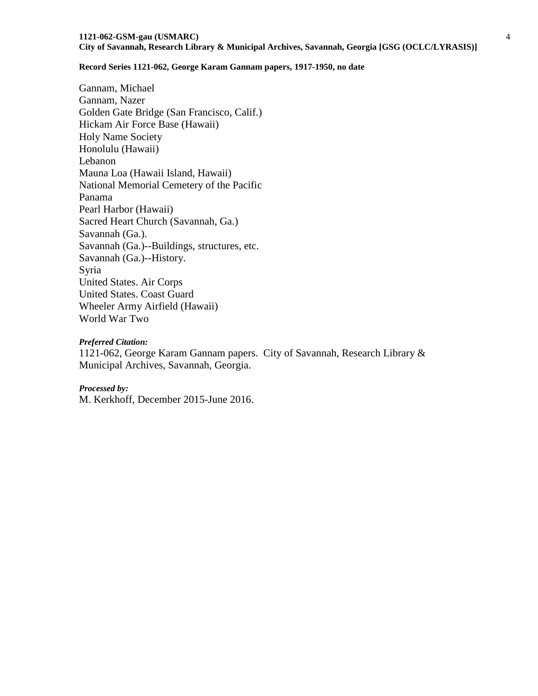Gannam, Michael Gannam, Nazer Golden Gate Bridge (San Francisco, Calif.) Hickam Air Force Base (Hawaii) Holy Name Society Honolulu (Hawaii) Lebanon Mauna Loa (Hawaii Island, Hawaii) National Memorial Cemetery of the Pacific Panama Pearl Harbor (Hawaii) Sacred Heart Church (Savannah, Ga.) Savannah (Ga.). Savannah (Ga.)--Buildings, structures, etc. Savannah (Ga.)--History. Syria United States. Air Corps United States. Coast Guard Wheeler Army Airfield (Hawaii) World War Two

#### *Preferred Citation:*

1121-062, George Karam Gannam papers. City of Savannah, Research Library & Municipal Archives, Savannah, Georgia.

#### *Processed by:*

M. Kerkhoff, December 2015-June 2016.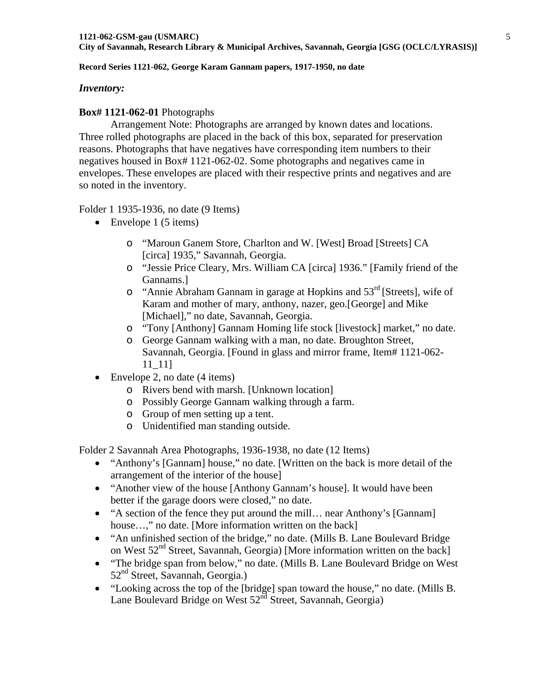### *Inventory:*

### **Box# 1121-062-01** Photographs

Arrangement Note: Photographs are arranged by known dates and locations. Three rolled photographs are placed in the back of this box, separated for preservation reasons. Photographs that have negatives have corresponding item numbers to their negatives housed in Box# 1121-062-02. Some photographs and negatives came in envelopes. These envelopes are placed with their respective prints and negatives and are so noted in the inventory.

### Folder 1 1935-1936, no date (9 Items)

- Envelope 1 (5 items)
	- o "Maroun Ganem Store, Charlton and W. [West] Broad [Streets] CA [circa] 1935," Savannah, Georgia.
	- o "Jessie Price Cleary, Mrs. William CA [circa] 1936." [Family friend of the Gannams.]
	- o "Annie Abraham Gannam in garage at Hopkins and 53rd [Streets], wife of Karam and mother of mary, anthony, nazer, geo.[George] and Mike [Michael]," no date, Savannah, Georgia.
	- o "Tony [Anthony] Gannam Homing life stock [livestock] market," no date.
	- o George Gannam walking with a man, no date. Broughton Street, Savannah, Georgia. [Found in glass and mirror frame, Item# 1121-062- 11\_11]
- Envelope 2, no date (4 items)
	- o Rivers bend with marsh. [Unknown location]
	- o Possibly George Gannam walking through a farm.
	- o Group of men setting up a tent.
	- o Unidentified man standing outside.

Folder 2 Savannah Area Photographs, 1936-1938, no date (12 Items)

- "Anthony's [Gannam] house," no date. [Written on the back is more detail of the arrangement of the interior of the house]
- "Another view of the house [Anthony Gannam's house]. It would have been better if the garage doors were closed," no date.
- "A section of the fence they put around the mill... near Anthony's [Gannam] house...," no date. [More information written on the back]
- "An unfinished section of the bridge," no date. (Mills B. Lane Boulevard Bridge on West  $52<sup>nd</sup>$  Street, Savannah, Georgia) [More information written on the back]
- "The bridge span from below," no date. (Mills B. Lane Boulevard Bridge on West 52<sup>nd</sup> Street, Savannah, Georgia.)
- "Looking across the top of the [bridge] span toward the house," no date. (Mills B. Lane Boulevard Bridge on West  $52<sup>nd</sup>$  Street, Savannah, Georgia)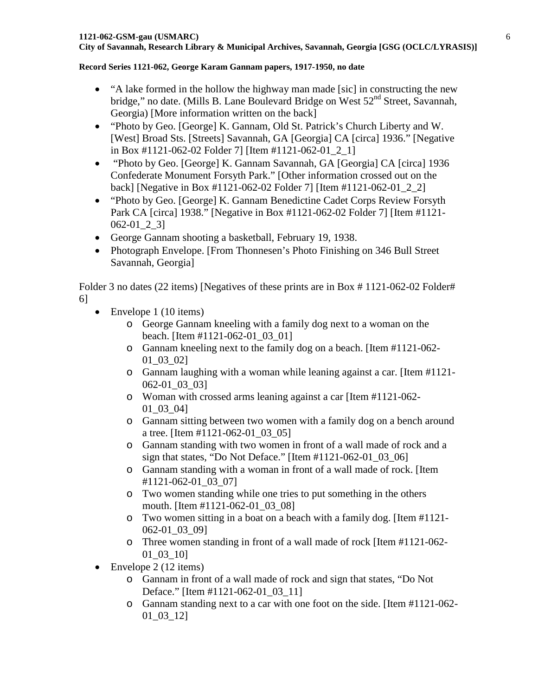- "A lake formed in the hollow the highway man made [sic] in constructing the new bridge," no date. (Mills B. Lane Boulevard Bridge on West 52<sup>nd</sup> Street, Savannah, Georgia) [More information written on the back]
- "Photo by Geo. [George] K. Gannam, Old St. Patrick's Church Liberty and W. [West] Broad Sts. [Streets] Savannah, GA [Georgia] CA [circa] 1936." [Negative in Box #1121-062-02 Folder 7] [Item #1121-062-01\_2\_1]
- "Photo by Geo. [George] K. Gannam Savannah, GA [Georgia] CA [circa] 1936 Confederate Monument Forsyth Park." [Other information crossed out on the back] [Negative in Box #1121-062-02 Folder 7] [Item #1121-062-01\_2\_2]
- "Photo by Geo. [George] K. Gannam Benedictine Cadet Corps Review Forsyth Park CA [circa] 1938." [Negative in Box #1121-062-02 Folder 7] [Item #1121- 062-01\_2\_3]
- George Gannam shooting a basketball, February 19, 1938.
- Photograph Envelope. [From Thonnesen's Photo Finishing on 346 Bull Street Savannah, Georgia]

Folder 3 no dates (22 items) [Negatives of these prints are in Box # 1121-062-02 Folder# 6]

- Envelope 1 (10 items)
	- o George Gannam kneeling with a family dog next to a woman on the beach. [Item #1121-062-01\_03\_01]
	- o Gannam kneeling next to the family dog on a beach. [Item #1121-062- 01\_03\_02]
	- o Gannam laughing with a woman while leaning against a car. [Item #1121- 062-01\_03\_03]
	- o Woman with crossed arms leaning against a car [Item #1121-062- 01\_03\_04]
	- o Gannam sitting between two women with a family dog on a bench around a tree. [Item #1121-062-01\_03\_05]
	- o Gannam standing with two women in front of a wall made of rock and a sign that states, "Do Not Deface." [Item  $\#1121-062-01$  03 06]
	- o Gannam standing with a woman in front of a wall made of rock. [Item #1121-062-01\_03\_07]
	- o Two women standing while one tries to put something in the others mouth. [Item #1121-062-01\_03\_08]
	- o Two women sitting in a boat on a beach with a family dog. [Item #1121- 062-01\_03\_09]
	- o Three women standing in front of a wall made of rock [Item #1121-062- 01\_03\_10]
- Envelope 2 (12 items)
	- o Gannam in front of a wall made of rock and sign that states, "Do Not Deface." [Item #1121-062-01\_03\_11]
	- o Gannam standing next to a car with one foot on the side. [Item #1121-062- 01\_03\_12]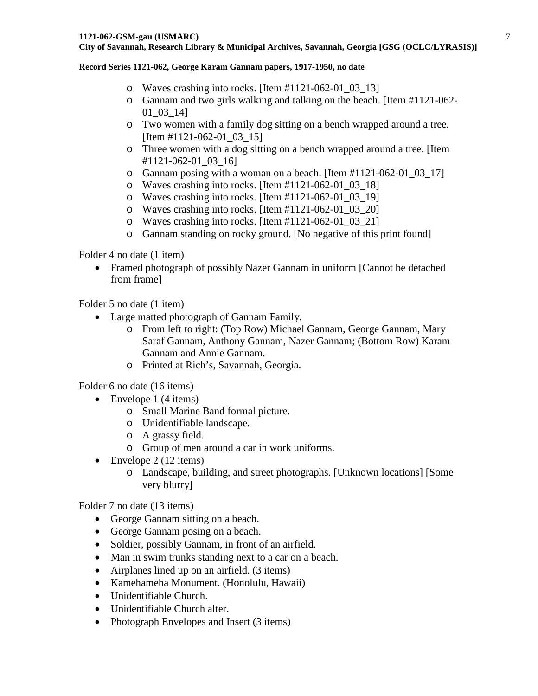#### **Record Series 1121-062, George Karam Gannam papers, 1917-1950, no date**

- o Waves crashing into rocks. [Item #1121-062-01\_03\_13]
- o Gannam and two girls walking and talking on the beach. [Item #1121-062- 01\_03\_14]
- o Two women with a family dog sitting on a bench wrapped around a tree. [Item #1121-062-01 03 15]
- o Three women with a dog sitting on a bench wrapped around a tree. [Item #1121-062-01\_03\_16]
- $\circ$  Gannam posing with a woman on a beach. [Item #1121-062-01 03 17]
- o Waves crashing into rocks. [Item #1121-062-01\_03\_18]
- o Waves crashing into rocks. [Item #1121-062-01\_03\_19]
- o Waves crashing into rocks. [Item #1121-062-01\_03\_20]
- o Waves crashing into rocks. [Item #1121-062-01\_03\_21]
- o Gannam standing on rocky ground. [No negative of this print found]

Folder 4 no date (1 item)

• Framed photograph of possibly Nazer Gannam in uniform [Cannot be detached from frame]

Folder 5 no date (1 item)

- Large matted photograph of Gannam Family.
	- o From left to right: (Top Row) Michael Gannam, George Gannam, Mary Saraf Gannam, Anthony Gannam, Nazer Gannam; (Bottom Row) Karam Gannam and Annie Gannam.
	- o Printed at Rich's, Savannah, Georgia.

Folder 6 no date (16 items)

- Envelope 1  $(4 \text{ items})$ 
	- o Small Marine Band formal picture.
	- o Unidentifiable landscape.
	- o A grassy field.
	- o Group of men around a car in work uniforms.
- Envelope  $2(12 \text{ items})$ 
	- o Landscape, building, and street photographs. [Unknown locations] [Some very blurry]

Folder 7 no date (13 items)

- George Gannam sitting on a beach.
- George Gannam posing on a beach.
- Soldier, possibly Gannam, in front of an airfield.
- Man in swim trunks standing next to a car on a beach.
- Airplanes lined up on an airfield. (3 items)
- Kamehameha Monument. (Honolulu, Hawaii)
- Unidentifiable Church.
- Unidentifiable Church alter.
- Photograph Envelopes and Insert (3 items)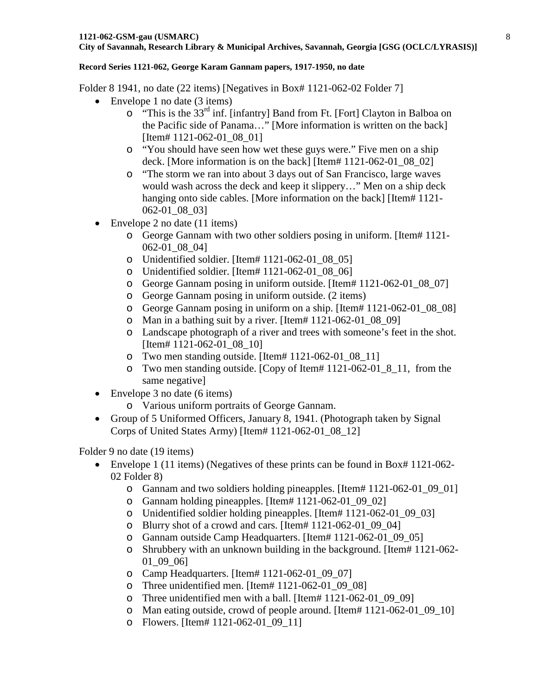Folder 8 1941, no date (22 items) [Negatives in Box# 1121-062-02 Folder 7]

- Envelope 1 no date (3 items)
	- $\circ$  "This is the 33<sup>rd</sup> inf. [infantry] Band from Ft. [Fort] Clayton in Balboa on the Pacific side of Panama…" [More information is written on the back] [Item# 1121-062-01 08 01]
	- o "You should have seen how wet these guys were." Five men on a ship deck. [More information is on the back] [Item# 1121-062-01\_08\_02]
	- o "The storm we ran into about 3 days out of San Francisco, large waves would wash across the deck and keep it slippery…" Men on a ship deck hanging onto side cables. [More information on the back] [Item# 1121-062-01\_08\_03]
- Envelope 2 no date (11 items)
	- o George Gannam with two other soldiers posing in uniform. [Item# 1121- 062-01\_08\_04]
	- o Unidentified soldier. [Item# 1121-062-01\_08\_05]
	- o Unidentified soldier. [Item# 1121-062-01\_08\_06]
	- o George Gannam posing in uniform outside. [Item# 1121-062-01\_08\_07]
	- o George Gannam posing in uniform outside. (2 items)
	- o George Gannam posing in uniform on a ship. [Item# 1121-062-01\_08\_08]
	- $\circ$  Man in a bathing suit by a river. [Item# 1121-062-01 08 09]
	- o Landscape photograph of a river and trees with someone's feet in the shot. [Item# 1121-062-01\_08\_10]
	- o Two men standing outside. [Item# 1121-062-01\_08\_11]
	- o Two men standing outside. [Copy of Item# 1121-062-01\_8\_11, from the same negative]
- Envelope 3 no date (6 items)
	- o Various uniform portraits of George Gannam.
- Group of 5 Uniformed Officers, January 8, 1941. (Photograph taken by Signal Corps of United States Army) [Item# 1121-062-01\_08\_12]

Folder 9 no date (19 items)

- Envelope 1 (11 items) (Negatives of these prints can be found in Box# 1121-062-02 Folder 8)
	- o Gannam and two soldiers holding pineapples. [Item# 1121-062-01\_09\_01]
	- o Gannam holding pineapples. [Item# 1121-062-01\_09\_02]
	- o Unidentified soldier holding pineapples. [Item# 1121-062-01\_09\_03]
	- o Blurry shot of a crowd and cars. [Item# 1121-062-01\_09\_04]
	- o Gannam outside Camp Headquarters. [Item# 1121-062-01\_09\_05]
	- o Shrubbery with an unknown building in the background. [Item# 1121-062- 01\_09\_06]
	- o Camp Headquarters. [Item# 1121-062-01\_09\_07]
	- o Three unidentified men. [Item# 1121-062-01\_09\_08]
	- o Three unidentified men with a ball. [Item# 1121-062-01\_09\_09]
	- o Man eating outside, crowd of people around. [Item# 1121-062-01\_09\_10]
	- o Flowers. [Item# 1121-062-01\_09\_11]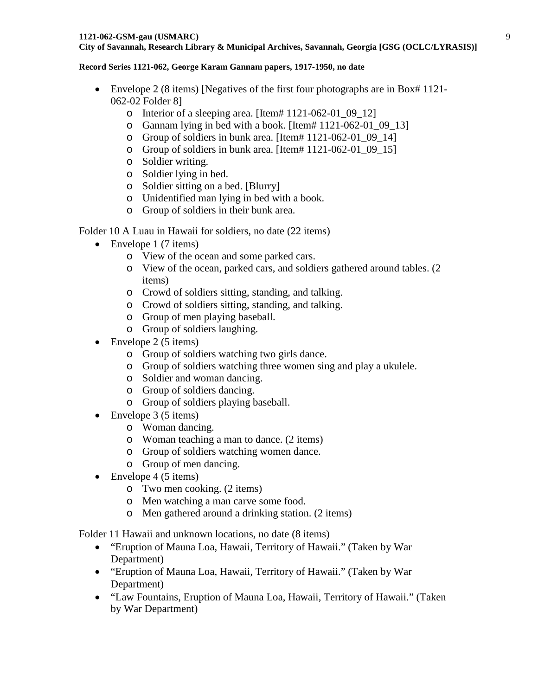#### **Record Series 1121-062, George Karam Gannam papers, 1917-1950, no date**

- Envelope 2 (8 items) [Negatives of the first four photographs are in Box# 1121-062-02 Folder 8]
	- o Interior of a sleeping area. [Item# 1121-062-01\_09\_12]
	- o Gannam lying in bed with a book. [Item# 1121-062-01\_09\_13]
	- o Group of soldiers in bunk area. [Item# 1121-062-01\_09\_14]
	- o Group of soldiers in bunk area. [Item# 1121-062-01\_09\_15]
	- o Soldier writing.
	- o Soldier lying in bed.
	- o Soldier sitting on a bed. [Blurry]
	- o Unidentified man lying in bed with a book.
	- o Group of soldiers in their bunk area.

# Folder 10 A Luau in Hawaii for soldiers, no date (22 items)

- Envelope 1 (7 items)
	- o View of the ocean and some parked cars.
	- o View of the ocean, parked cars, and soldiers gathered around tables. (2 items)
	- o Crowd of soldiers sitting, standing, and talking.
	- o Crowd of soldiers sitting, standing, and talking.
	- o Group of men playing baseball.
	- o Group of soldiers laughing.
- Envelope  $2(5 \text{ items})$ 
	- o Group of soldiers watching two girls dance.
	- o Group of soldiers watching three women sing and play a ukulele.
	- o Soldier and woman dancing.
	- o Group of soldiers dancing.
	- o Group of soldiers playing baseball.
- Envelope 3 (5 items)
	- o Woman dancing.
	- o Woman teaching a man to dance. (2 items)
	- o Group of soldiers watching women dance.
	- o Group of men dancing.
- Envelope  $4(5 \text{ items})$ 
	- o Two men cooking. (2 items)
	- o Men watching a man carve some food.
	- o Men gathered around a drinking station. (2 items)

Folder 11 Hawaii and unknown locations, no date (8 items)

- "Eruption of Mauna Loa, Hawaii, Territory of Hawaii." (Taken by War Department)
- "Eruption of Mauna Loa, Hawaii, Territory of Hawaii." (Taken by War Department)
- "Law Fountains, Eruption of Mauna Loa, Hawaii, Territory of Hawaii." (Taken by War Department)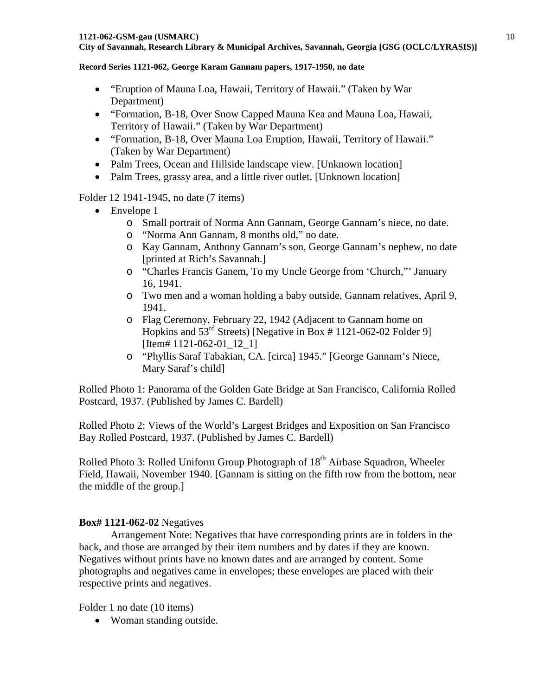- "Eruption of Mauna Loa, Hawaii, Territory of Hawaii." (Taken by War Department)
- "Formation, B-18, Over Snow Capped Mauna Kea and Mauna Loa, Hawaii, Territory of Hawaii." (Taken by War Department)
- "Formation, B-18, Over Mauna Loa Eruption, Hawaii, Territory of Hawaii." (Taken by War Department)
- Palm Trees, Ocean and Hillside landscape view. [Unknown location]
- Palm Trees, grassy area, and a little river outlet. [Unknown location]

## Folder 12 1941-1945, no date (7 items)

- Envelope 1
	- o Small portrait of Norma Ann Gannam, George Gannam's niece, no date.
	- o "Norma Ann Gannam, 8 months old," no date.
	- o Kay Gannam, Anthony Gannam's son, George Gannam's nephew, no date [printed at Rich's Savannah.]
	- o "Charles Francis Ganem, To my Uncle George from 'Church,"' January 16, 1941.
	- o Two men and a woman holding a baby outside, Gannam relatives, April 9, 1941.
	- o Flag Ceremony, February 22, 1942 (Adjacent to Gannam home on Hopkins and  $53<sup>rd</sup>$  Streets) [Negative in Box # 1121-062-02 Folder 9] [Item# 1121-062-01 12 1]
	- o "Phyllis Saraf Tabakian, CA. [circa] 1945." [George Gannam's Niece, Mary Saraf's child]

Rolled Photo 1: Panorama of the Golden Gate Bridge at San Francisco, California Rolled Postcard, 1937. (Published by James C. Bardell)

Rolled Photo 2: Views of the World's Largest Bridges and Exposition on San Francisco Bay Rolled Postcard, 1937. (Published by James C. Bardell)

Rolled Photo 3: Rolled Uniform Group Photograph of  $18<sup>th</sup>$  Airbase Squadron, Wheeler Field, Hawaii, November 1940. [Gannam is sitting on the fifth row from the bottom, near the middle of the group.]

# **Box# 1121-062-02** Negatives

Arrangement Note: Negatives that have corresponding prints are in folders in the back, and those are arranged by their item numbers and by dates if they are known. Negatives without prints have no known dates and are arranged by content. Some photographs and negatives came in envelopes; these envelopes are placed with their respective prints and negatives.

Folder 1 no date (10 items)

• Woman standing outside.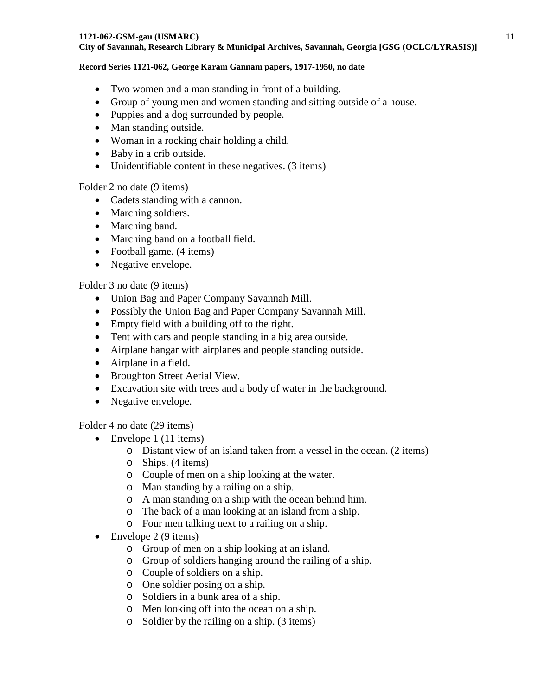#### **1121-062-GSM-gau (USMARC)**

### **City of Savannah, Research Library & Municipal Archives, Savannah, Georgia [GSG (OCLC/LYRASIS)]**

#### **Record Series 1121-062, George Karam Gannam papers, 1917-1950, no date**

- Two women and a man standing in front of a building.
- Group of young men and women standing and sitting outside of a house.
- Puppies and a dog surrounded by people.
- Man standing outside.
- Woman in a rocking chair holding a child.
- Baby in a crib outside.
- Unidentifiable content in these negatives. (3 items)

## Folder 2 no date (9 items)

- Cadets standing with a cannon.
- Marching soldiers.
- Marching band.
- Marching band on a football field.
- Football game. (4 items)
- Negative envelope.

## Folder 3 no date (9 items)

- Union Bag and Paper Company Savannah Mill.
- Possibly the Union Bag and Paper Company Savannah Mill.
- Empty field with a building off to the right.
- Tent with cars and people standing in a big area outside.
- Airplane hangar with airplanes and people standing outside.
- Airplane in a field.
- Broughton Street Aerial View.
- Excavation site with trees and a body of water in the background.
- Negative envelope.

Folder 4 no date (29 items)

- Envelope 1 (11 items)
	- o Distant view of an island taken from a vessel in the ocean. (2 items)
	- o Ships. (4 items)
	- o Couple of men on a ship looking at the water.
	- o Man standing by a railing on a ship.
	- o A man standing on a ship with the ocean behind him.
	- o The back of a man looking at an island from a ship.
	- o Four men talking next to a railing on a ship.
- Envelope 2 (9 items)
	- o Group of men on a ship looking at an island.
	- o Group of soldiers hanging around the railing of a ship.
	- o Couple of soldiers on a ship.
	- o One soldier posing on a ship.
	- o Soldiers in a bunk area of a ship.
	- o Men looking off into the ocean on a ship.
	- o Soldier by the railing on a ship. (3 items)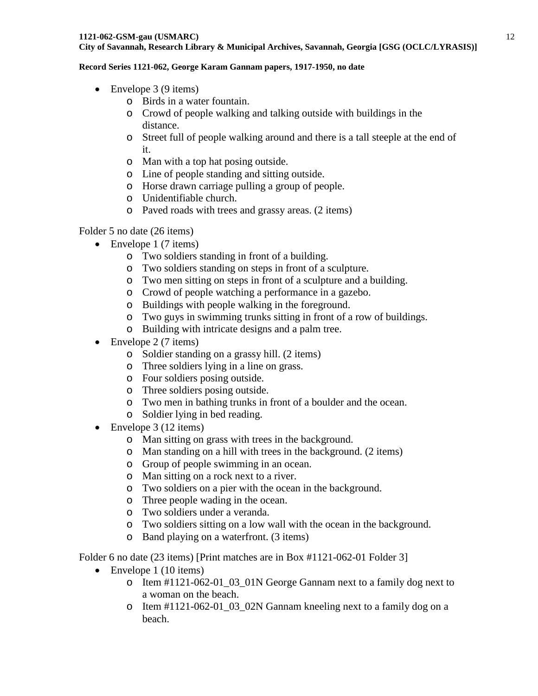#### **Record Series 1121-062, George Karam Gannam papers, 1917-1950, no date**

- Envelope  $3(9$  items)
	- o Birds in a water fountain.
	- o Crowd of people walking and talking outside with buildings in the distance.
	- o Street full of people walking around and there is a tall steeple at the end of it.
	- o Man with a top hat posing outside.
	- o Line of people standing and sitting outside.
	- o Horse drawn carriage pulling a group of people.
	- o Unidentifiable church.
	- o Paved roads with trees and grassy areas. (2 items)

## Folder 5 no date (26 items)

- Envelope 1 (7 items)
	- o Two soldiers standing in front of a building.
	- o Two soldiers standing on steps in front of a sculpture.
	- o Two men sitting on steps in front of a sculpture and a building.
	- o Crowd of people watching a performance in a gazebo.
	- o Buildings with people walking in the foreground.
	- o Two guys in swimming trunks sitting in front of a row of buildings.
	- o Building with intricate designs and a palm tree.
- Envelope 2 (7 items)
	- o Soldier standing on a grassy hill. (2 items)
	- o Three soldiers lying in a line on grass.
	- o Four soldiers posing outside.
	- o Three soldiers posing outside.
	- o Two men in bathing trunks in front of a boulder and the ocean.
	- o Soldier lying in bed reading.
- Envelope 3 (12 items)
	- o Man sitting on grass with trees in the background.
	- o Man standing on a hill with trees in the background. (2 items)
	- o Group of people swimming in an ocean.
	- o Man sitting on a rock next to a river.
	- o Two soldiers on a pier with the ocean in the background.
	- o Three people wading in the ocean.
	- o Two soldiers under a veranda.
	- o Two soldiers sitting on a low wall with the ocean in the background.
	- o Band playing on a waterfront. (3 items)

Folder 6 no date (23 items) [Print matches are in Box #1121-062-01 Folder 3]

- Envelope 1 (10 items)
	- $\circ$  Item #1121-062-01 03 01N George Gannam next to a family dog next to a woman on the beach.
	- o Item #1121-062-01\_03\_02N Gannam kneeling next to a family dog on a beach.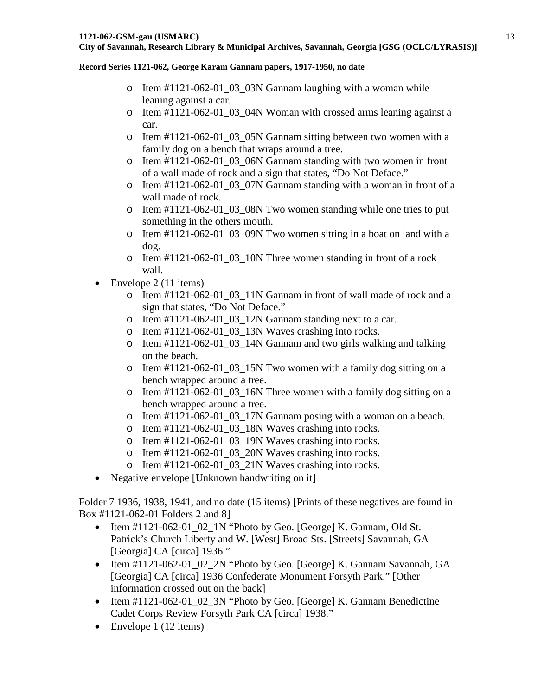- $\circ$  Item #1121-062-01 03 03N Gannam laughing with a woman while leaning against a car.
- o Item #1121-062-01\_03\_04N Woman with crossed arms leaning against a car.
- o Item #1121-062-01\_03\_05N Gannam sitting between two women with a family dog on a bench that wraps around a tree.
- o Item #1121-062-01\_03\_06N Gannam standing with two women in front of a wall made of rock and a sign that states, "Do Not Deface."
- o Item #1121-062-01\_03\_07N Gannam standing with a woman in front of a wall made of rock.
- $\circ$  Item #1121-062-01\_03\_08N Two women standing while one tries to put something in the others mouth.
- o Item #1121-062-01\_03\_09N Two women sitting in a boat on land with a dog.
- o Item #1121-062-01\_03\_10N Three women standing in front of a rock wall.
- Envelope  $2(11 \text{ items})$ 
	- o Item #1121-062-01\_03\_11N Gannam in front of wall made of rock and a sign that states, "Do Not Deface."
	- o Item  $\text{\#1121-062-01}$  03 12N Gannam standing next to a car.
	- o Item #1121-062-01\_03\_13N Waves crashing into rocks.
	- o Item #1121-062-01\_03\_14N Gannam and two girls walking and talking on the beach.
	- $\circ$  Item #1121-062-01 03 15N Two women with a family dog sitting on a bench wrapped around a tree.
	- o Item #1121-062-01\_03\_16N Three women with a family dog sitting on a bench wrapped around a tree.
	- o Item #1121-062-01\_03\_17N Gannam posing with a woman on a beach.
	- o Item  $\#1121-062-01$  03 18N Waves crashing into rocks.
	- o Item #1121-062-01\_03\_19N Waves crashing into rocks.
	- o Item #1121-062-01\_03\_20N Waves crashing into rocks.
	- o Item #1121-062-01\_03\_21N Waves crashing into rocks.
- Negative envelope [Unknown handwriting on it]

Folder 7 1936, 1938, 1941, and no date (15 items) [Prints of these negatives are found in Box #1121-062-01 Folders 2 and 8]

- Item #1121-062-01\_02\_1N "Photo by Geo. [George] K. Gannam, Old St. Patrick's Church Liberty and W. [West] Broad Sts. [Streets] Savannah, GA [Georgia] CA [circa] 1936."
- Item #1121-062-01\_02\_2N "Photo by Geo. [George] K. Gannam Savannah, GA [Georgia] CA [circa] 1936 Confederate Monument Forsyth Park." [Other information crossed out on the back]
- Item #1121-062-01\_02\_3N "Photo by Geo. [George] K. Gannam Benedictine Cadet Corps Review Forsyth Park CA [circa] 1938."
- Envelope 1 (12 items)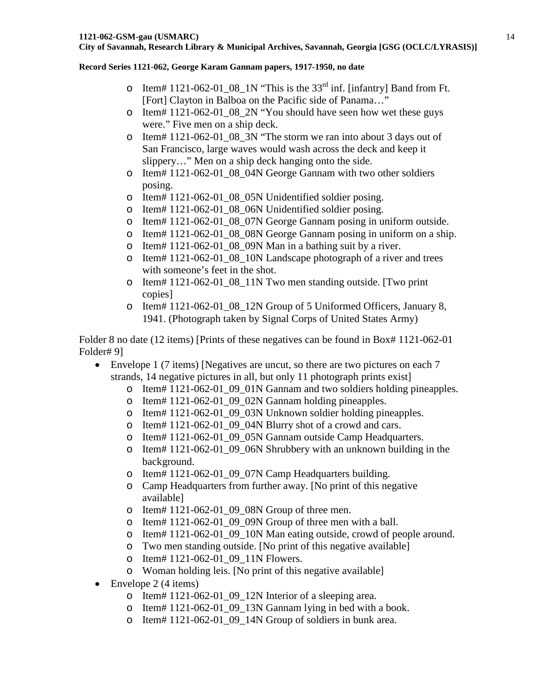- o Item# 1121-062-01\_08\_1N "This is the  $33<sup>rd</sup>$  inf. [infantry] Band from Ft. [Fort] Clayton in Balboa on the Pacific side of Panama…"
- o Item# 1121-062-01\_08\_2N "You should have seen how wet these guys were." Five men on a ship deck.
- o Item# 1121-062-01\_08\_3N "The storm we ran into about 3 days out of San Francisco, large waves would wash across the deck and keep it slippery…" Men on a ship deck hanging onto the side.
- o Item# 1121-062-01\_08\_04N George Gannam with two other soldiers posing.
- o Item# 1121-062-01\_08\_05N Unidentified soldier posing.
- o Item# 1121-062-01\_08\_06N Unidentified soldier posing.
- o Item# 1121-062-01\_08\_07N George Gannam posing in uniform outside.
- o Item# 1121-062-01\_08\_08N George Gannam posing in uniform on a ship.
- o Item# 1121-062-01\_08\_09N Man in a bathing suit by a river.
- o Item# 1121-062-01\_08\_10N Landscape photograph of a river and trees with someone's feet in the shot.
- o Item# 1121-062-01\_08\_11N Two men standing outside. [Two print copies]
- o Item# 1121-062-01\_08\_12N Group of 5 Uniformed Officers, January 8, 1941. (Photograph taken by Signal Corps of United States Army)

Folder 8 no date (12 items) [Prints of these negatives can be found in Box# 1121-062-01 Folder# 9]

- Envelope 1 (7 items) [Negatives are uncut, so there are two pictures on each 7 strands, 14 negative pictures in all, but only 11 photograph prints exist]
	- $\circ$  Item# 1121-062-01\_09\_01N Gannam and two soldiers holding pineapples.
	- o Item# 1121-062-01\_09\_02N Gannam holding pineapples.
	- o Item# 1121-062-01\_09\_03N Unknown soldier holding pineapples.
	- o Item# 1121-062-01\_09\_04N Blurry shot of a crowd and cars.
	- o Item# 1121-062-01\_09\_05N Gannam outside Camp Headquarters.
	- o Item# 1121-062-01\_09\_06N Shrubbery with an unknown building in the background.
	- o Item# 1121-062-01\_09\_07N Camp Headquarters building.
	- o Camp Headquarters from further away. [No print of this negative available]
	- $\circ$  Item# 1121-062-01\_09\_08N Group of three men.
	- o Item# 1121-062-01\_09\_09N Group of three men with a ball.
	- o Item# 1121-062-01\_09\_10N Man eating outside, crowd of people around.
	- o Two men standing outside. [No print of this negative available]
	- o Item# 1121-062-01\_09\_11N Flowers.
	- o Woman holding leis. [No print of this negative available]
- Envelope 2 (4 items)
	- o Item# 1121-062-01\_09\_12N Interior of a sleeping area.
	- o Item# 1121-062-01\_09\_13N Gannam lying in bed with a book.
	- o Item# 1121-062-01\_09\_14N Group of soldiers in bunk area.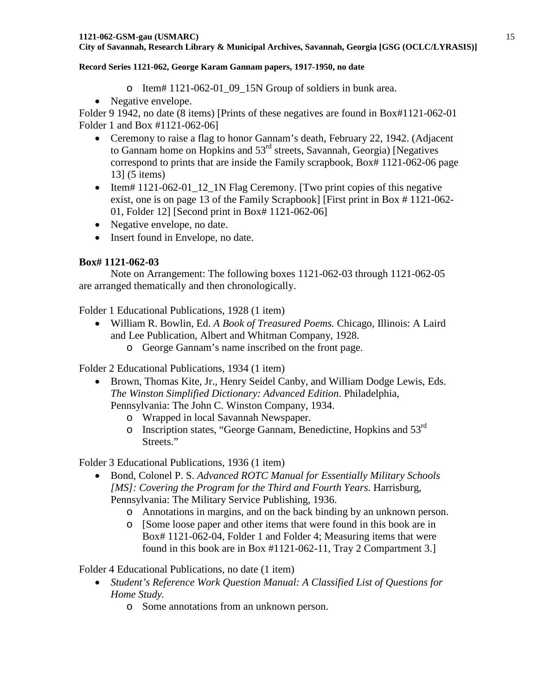- o Item# 1121-062-01\_09\_15N Group of soldiers in bunk area.
- Negative envelope.

Folder 9 1942, no date (8 items) [Prints of these negatives are found in Box#1121-062-01 Folder 1 and Box #1121-062-06]

- Ceremony to raise a flag to honor Gannam's death, February 22, 1942. (Adjacent to Gannam home on Hopkins and 53<sup>rd</sup> streets, Savannah, Georgia) [Negatives] correspond to prints that are inside the Family scrapbook, Box# 1121-062-06 page 13] (5 items)
- Item# 1121-062-01\_12\_1N Flag Ceremony. [Two print copies of this negative exist, one is on page 13 of the Family Scrapbook] [First print in Box # 1121-062- 01, Folder 12] [Second print in Box# 1121-062-06]
- Negative envelope, no date.
- Insert found in Envelope, no date.

## **Box# 1121-062-03**

Note on Arrangement: The following boxes 1121-062-03 through 1121-062-05 are arranged thematically and then chronologically.

Folder 1 Educational Publications, 1928 (1 item)

- William R. Bowlin, Ed. *A Book of Treasured Poems.* Chicago, Illinois: A Laird and Lee Publication, Albert and Whitman Company, 1928.
	- o George Gannam's name inscribed on the front page.

Folder 2 Educational Publications, 1934 (1 item)

- Brown, Thomas Kite, Jr., Henry Seidel Canby, and William Dodge Lewis, Eds. *The Winston Simplified Dictionary: Advanced Edition*. Philadelphia, Pennsylvania: The John C. Winston Company, 1934.
	- o Wrapped in local Savannah Newspaper.
	- o Inscription states, "George Gannam, Benedictine, Hopkins and 53rd Streets."

Folder 3 Educational Publications, 1936 (1 item)

- Bond, Colonel P. S. *Advanced ROTC Manual for Essentially Military Schools [MS]: Covering the Program for the Third and Fourth Years*. Harrisburg, Pennsylvania: The Military Service Publishing, 1936.
	- o Annotations in margins, and on the back binding by an unknown person.
	- o [Some loose paper and other items that were found in this book are in Box# 1121-062-04, Folder 1 and Folder 4; Measuring items that were found in this book are in Box #1121-062-11, Tray 2 Compartment 3.]

Folder 4 Educational Publications, no date (1 item)

- *Student's Reference Work Question Manual: A Classified List of Questions for Home Study.*
	- o Some annotations from an unknown person.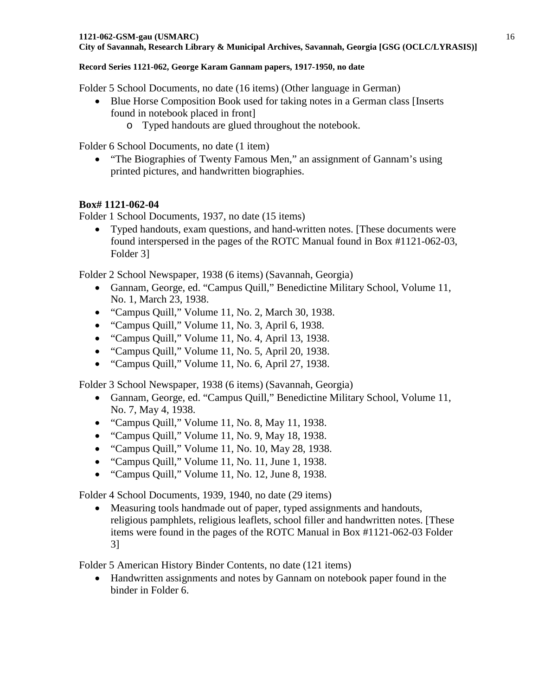Folder 5 School Documents, no date (16 items) (Other language in German)

- Blue Horse Composition Book used for taking notes in a German class [Inserts] found in notebook placed in front]
	- o Typed handouts are glued throughout the notebook.

Folder 6 School Documents, no date (1 item)

• "The Biographies of Twenty Famous Men," an assignment of Gannam's using printed pictures, and handwritten biographies.

## **Box# 1121-062-04**

Folder 1 School Documents, 1937, no date (15 items)

• Typed handouts, exam questions, and hand-written notes. [These documents were found interspersed in the pages of the ROTC Manual found in Box #1121-062-03, Folder 3]

Folder 2 School Newspaper, 1938 (6 items) (Savannah, Georgia)

- Gannam, George, ed. "Campus Quill," Benedictine Military School, Volume 11, No. 1, March 23, 1938.
- "Campus Quill," Volume 11, No. 2, March 30, 1938.
- "Campus Quill," Volume 11, No. 3, April 6, 1938.
- "Campus Quill," Volume 11, No. 4, April 13, 1938.
- "Campus Quill," Volume 11, No. 5, April 20, 1938.
- "Campus Quill," Volume 11, No. 6, April 27, 1938.

Folder 3 School Newspaper, 1938 (6 items) (Savannah, Georgia)

- Gannam, George, ed. "Campus Quill," Benedictine Military School, Volume 11, No. 7, May 4, 1938.
- "Campus Quill," Volume 11, No. 8, May 11, 1938.
- "Campus Quill," Volume 11, No. 9, May 18, 1938.
- "Campus Quill," Volume 11, No. 10, May 28, 1938.
- "Campus Quill," Volume 11, No. 11, June 1, 1938.
- "Campus Quill," Volume 11, No. 12, June 8, 1938.

Folder 4 School Documents, 1939, 1940, no date (29 items)

• Measuring tools handmade out of paper, typed assignments and handouts, religious pamphlets, religious leaflets, school filler and handwritten notes. [These items were found in the pages of the ROTC Manual in Box #1121-062-03 Folder 3]

Folder 5 American History Binder Contents, no date (121 items)

• Handwritten assignments and notes by Gannam on notebook paper found in the binder in Folder 6.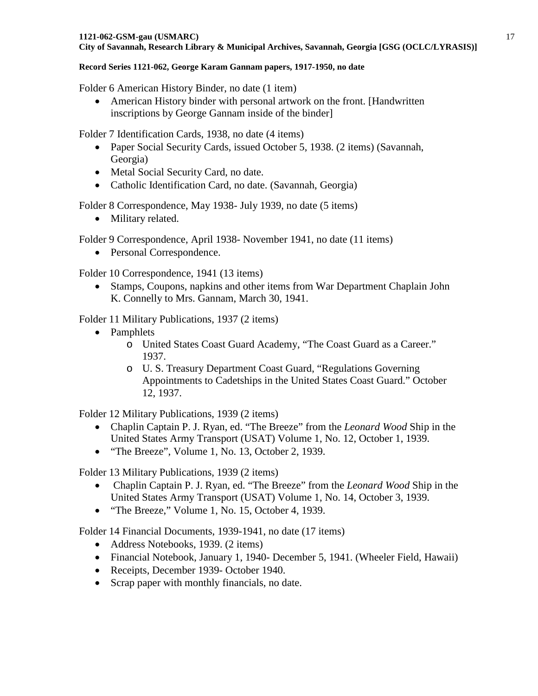Folder 6 American History Binder, no date (1 item)

• American History binder with personal artwork on the front. [Handwritten] inscriptions by George Gannam inside of the binder]

Folder 7 Identification Cards, 1938, no date (4 items)

- Paper Social Security Cards, issued October 5, 1938. (2 items) (Savannah, Georgia)
- Metal Social Security Card, no date.
- Catholic Identification Card, no date. (Savannah, Georgia)

Folder 8 Correspondence, May 1938- July 1939, no date (5 items)

• Military related.

Folder 9 Correspondence, April 1938- November 1941, no date (11 items)

• Personal Correspondence.

Folder 10 Correspondence, 1941 (13 items)

• Stamps, Coupons, napkins and other items from War Department Chaplain John K. Connelly to Mrs. Gannam, March 30, 1941.

Folder 11 Military Publications, 1937 (2 items)

- Pamphlets
	- o United States Coast Guard Academy, "The Coast Guard as a Career." 1937.
	- o U. S. Treasury Department Coast Guard, "Regulations Governing Appointments to Cadetships in the United States Coast Guard." October 12, 1937.

Folder 12 Military Publications, 1939 (2 items)

- Chaplin Captain P. J. Ryan, ed. "The Breeze" from the *Leonard Wood* Ship in the United States Army Transport (USAT) Volume 1, No. 12, October 1, 1939.
- "The Breeze", Volume 1, No. 13, October 2, 1939.

Folder 13 Military Publications, 1939 (2 items)

- Chaplin Captain P. J. Ryan, ed. "The Breeze" from the *Leonard Wood* Ship in the United States Army Transport (USAT) Volume 1, No. 14, October 3, 1939.
- "The Breeze," Volume 1, No. 15, October 4, 1939.

Folder 14 Financial Documents, 1939-1941, no date (17 items)

- Address Notebooks, 1939. (2 items)
- Financial Notebook, January 1, 1940- December 5, 1941. (Wheeler Field, Hawaii)
- Receipts, December 1939- October 1940.
- Scrap paper with monthly financials, no date.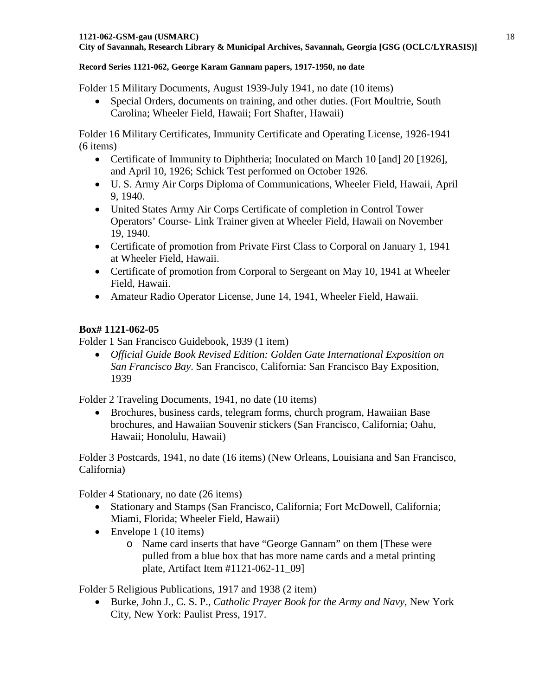Folder 15 Military Documents, August 1939-July 1941, no date (10 items)

• Special Orders, documents on training, and other duties. (Fort Moultrie, South Carolina; Wheeler Field, Hawaii; Fort Shafter, Hawaii)

Folder 16 Military Certificates, Immunity Certificate and Operating License, 1926-1941 (6 items)

- Certificate of Immunity to Diphtheria; Inoculated on March 10 [and] 20 [1926], and April 10, 1926; Schick Test performed on October 1926.
- U. S. Army Air Corps Diploma of Communications, Wheeler Field, Hawaii, April 9, 1940.
- United States Army Air Corps Certificate of completion in Control Tower Operators' Course- Link Trainer given at Wheeler Field, Hawaii on November 19, 1940.
- Certificate of promotion from Private First Class to Corporal on January 1, 1941 at Wheeler Field, Hawaii.
- Certificate of promotion from Corporal to Sergeant on May 10, 1941 at Wheeler Field, Hawaii.
- Amateur Radio Operator License, June 14, 1941, Wheeler Field, Hawaii.

# **Box# 1121-062-05**

Folder 1 San Francisco Guidebook, 1939 (1 item)

• *Official Guide Book Revised Edition: Golden Gate International Exposition on San Francisco Bay*. San Francisco, California: San Francisco Bay Exposition, 1939

Folder 2 Traveling Documents, 1941, no date (10 items)

• Brochures, business cards, telegram forms, church program, Hawaiian Base brochures, and Hawaiian Souvenir stickers (San Francisco, California; Oahu, Hawaii; Honolulu, Hawaii)

Folder 3 Postcards, 1941, no date (16 items) (New Orleans, Louisiana and San Francisco, California)

Folder 4 Stationary, no date (26 items)

- Stationary and Stamps (San Francisco, California; Fort McDowell, California; Miami, Florida; Wheeler Field, Hawaii)
- Envelope 1 (10 items)
	- o Name card inserts that have "George Gannam" on them [These were pulled from a blue box that has more name cards and a metal printing plate, Artifact Item #1121-062-11\_09]

Folder 5 Religious Publications, 1917 and 1938 (2 item)

• Burke, John J., C. S. P., *Catholic Prayer Book for the Army and Navy*, New York City, New York: Paulist Press, 1917.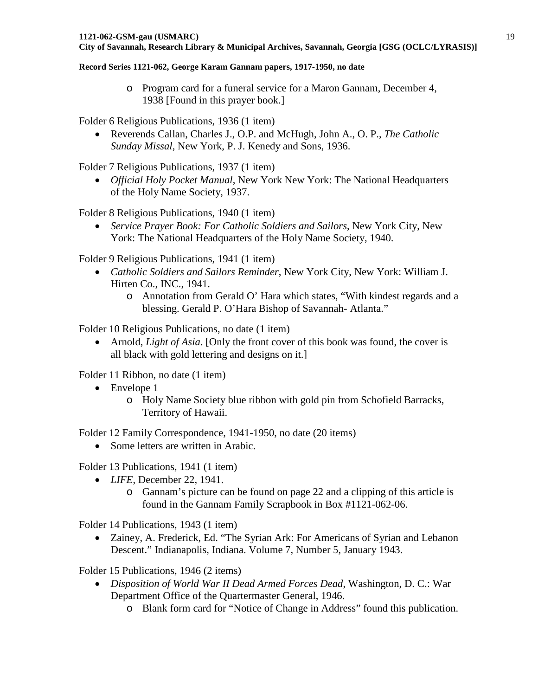o Program card for a funeral service for a Maron Gannam, December 4, 1938 [Found in this prayer book.]

Folder 6 Religious Publications, 1936 (1 item)

• Reverends Callan, Charles J., O.P. and McHugh, John A., O. P., *The Catholic Sunday Missal*, New York, P. J. Kenedy and Sons, 1936.

Folder 7 Religious Publications, 1937 (1 item)

• *Official Holy Pocket Manual*, New York New York: The National Headquarters of the Holy Name Society, 1937.

Folder 8 Religious Publications, 1940 (1 item)

• *Service Prayer Book: For Catholic Soldiers and Sailors*, New York City, New York: The National Headquarters of the Holy Name Society, 1940.

Folder 9 Religious Publications, 1941 (1 item)

- *Catholic Soldiers and Sailors Reminder*, New York City, New York: William J. Hirten Co., INC., 1941.
	- o Annotation from Gerald O' Hara which states, "With kindest regards and a blessing. Gerald P. O'Hara Bishop of Savannah- Atlanta."

Folder 10 Religious Publications, no date (1 item)

• Arnold, *Light of Asia*. [Only the front cover of this book was found, the cover is all black with gold lettering and designs on it.]

Folder 11 Ribbon, no date (1 item)

- Envelope 1
	- o Holy Name Society blue ribbon with gold pin from Schofield Barracks, Territory of Hawaii.

Folder 12 Family Correspondence, 1941-1950, no date (20 items)

• Some letters are written in Arabic.

Folder 13 Publications, 1941 (1 item)

- *LIFE*, December 22, 1941.
	- o Gannam's picture can be found on page 22 and a clipping of this article is found in the Gannam Family Scrapbook in Box #1121-062-06.

Folder 14 Publications, 1943 (1 item)

• Zainey, A. Frederick, Ed. "The Syrian Ark: For Americans of Syrian and Lebanon Descent." Indianapolis, Indiana. Volume 7, Number 5, January 1943.

Folder 15 Publications, 1946 (2 items)

- *Disposition of World War II Dead Armed Forces Dead*, Washington, D. C.: War Department Office of the Quartermaster General, 1946.
	- o Blank form card for "Notice of Change in Address" found this publication.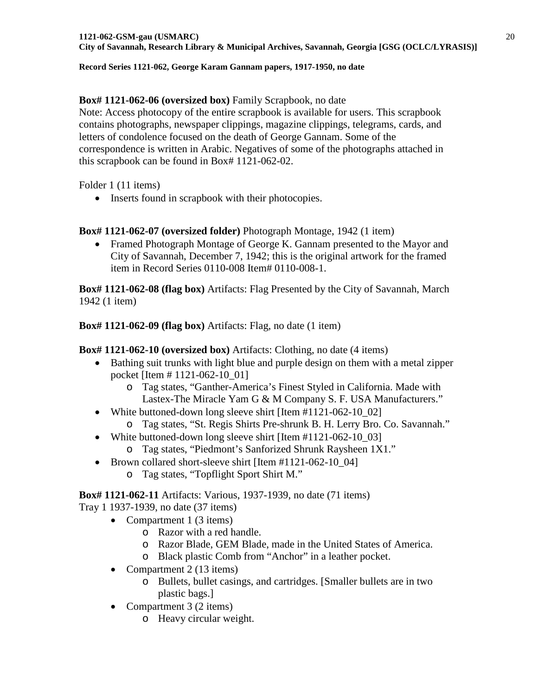## **Box# 1121-062-06 (oversized box)** Family Scrapbook, no date

Note: Access photocopy of the entire scrapbook is available for users. This scrapbook contains photographs, newspaper clippings, magazine clippings, telegrams, cards, and letters of condolence focused on the death of George Gannam. Some of the correspondence is written in Arabic. Negatives of some of the photographs attached in this scrapbook can be found in Box# 1121-062-02.

Folder 1 (11 items)

• Inserts found in scrapbook with their photocopies.

## **Box# 1121-062-07 (oversized folder)** Photograph Montage, 1942 (1 item)

• Framed Photograph Montage of George K. Gannam presented to the Mayor and City of Savannah, December 7, 1942; this is the original artwork for the framed item in Record Series 0110-008 Item# 0110-008-1.

**Box# 1121-062-08 (flag box)** Artifacts: Flag Presented by the City of Savannah, March 1942 (1 item)

**Box# 1121-062-09 (flag box)** Artifacts: Flag, no date (1 item)

**Box# 1121-062-10 (oversized box)** Artifacts: Clothing, no date (4 items)

- Bathing suit trunks with light blue and purple design on them with a metal zipper pocket [Item # 1121-062-10\_01]
	- o Tag states, "Ganther-America's Finest Styled in California. Made with Lastex-The Miracle Yam G & M Company S. F. USA Manufacturers."
- White buttoned-down long sleeve shirt [Item #1121-062-10\_02]
	- o Tag states, "St. Regis Shirts Pre-shrunk B. H. Lerry Bro. Co. Savannah."
- White buttoned-down long sleeve shirt [Item #1121-062-10\_03]
	- o Tag states, "Piedmont's Sanforized Shrunk Raysheen 1X1."
- Brown collared short-sleeve shirt [Item #1121-062-10\_04]
	- o Tag states, "Topflight Sport Shirt M."

**Box# 1121-062-11** Artifacts: Various, 1937-1939, no date (71 items)

Tray 1 1937-1939, no date (37 items)

- Compartment 1 (3 items)
	- o Razor with a red handle.
	- o Razor Blade, GEM Blade, made in the United States of America.
	- o Black plastic Comb from "Anchor" in a leather pocket.
- Compartment 2 (13 items)
	- o Bullets, bullet casings, and cartridges. [Smaller bullets are in two plastic bags.]
- Compartment 3 (2 items)
	- o Heavy circular weight.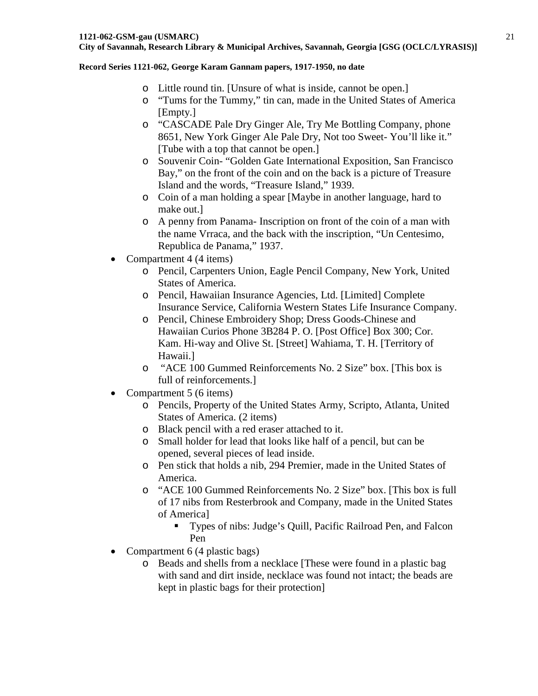- o Little round tin. [Unsure of what is inside, cannot be open.]
- o "Tums for the Tummy," tin can, made in the United States of America [Empty.]
- o "CASCADE Pale Dry Ginger Ale, Try Me Bottling Company, phone 8651, New York Ginger Ale Pale Dry, Not too Sweet- You'll like it." [Tube with a top that cannot be open.]
- o Souvenir Coin- "Golden Gate International Exposition, San Francisco Bay," on the front of the coin and on the back is a picture of Treasure Island and the words, "Treasure Island," 1939.
- o Coin of a man holding a spear [Maybe in another language, hard to make out.]
- o A penny from Panama- Inscription on front of the coin of a man with the name Vrraca, and the back with the inscription, "Un Centesimo, Republica de Panama," 1937.
- Compartment 4 (4 items)
	- o Pencil, Carpenters Union, Eagle Pencil Company, New York, United States of America.
	- o Pencil, Hawaiian Insurance Agencies, Ltd. [Limited] Complete Insurance Service, California Western States Life Insurance Company.
	- o Pencil, Chinese Embroidery Shop; Dress Goods-Chinese and Hawaiian Curios Phone 3B284 P. O. [Post Office] Box 300; Cor. Kam. Hi-way and Olive St. [Street] Wahiama, T. H. [Territory of Hawaii.]
	- o "ACE 100 Gummed Reinforcements No. 2 Size" box. [This box is full of reinforcements.]
- Compartment 5 (6 items)
	- o Pencils, Property of the United States Army, Scripto, Atlanta, United States of America. (2 items)
	- o Black pencil with a red eraser attached to it.
	- o Small holder for lead that looks like half of a pencil, but can be opened, several pieces of lead inside.
	- o Pen stick that holds a nib, 294 Premier, made in the United States of America.
	- o "ACE 100 Gummed Reinforcements No. 2 Size" box. [This box is full of 17 nibs from Resterbrook and Company, made in the United States of America]
		- Types of nibs: Judge's Quill, Pacific Railroad Pen, and Falcon Pen
- Compartment 6 (4 plastic bags)
	- o Beads and shells from a necklace [These were found in a plastic bag with sand and dirt inside, necklace was found not intact; the beads are kept in plastic bags for their protection]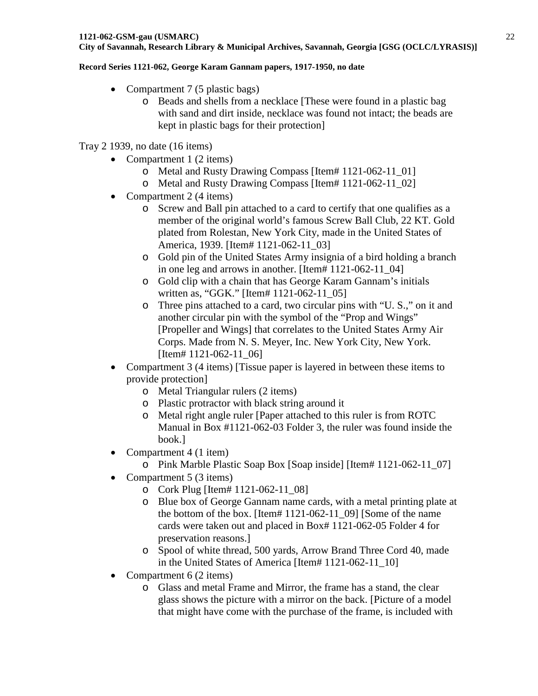### **Record Series 1121-062, George Karam Gannam papers, 1917-1950, no date**

- Compartment 7 (5 plastic bags)
	- o Beads and shells from a necklace [These were found in a plastic bag with sand and dirt inside, necklace was found not intact; the beads are kept in plastic bags for their protection]

## Tray 2 1939, no date (16 items)

- Compartment 1 (2 items)
	- o Metal and Rusty Drawing Compass [Item# 1121-062-11\_01]
	- o Metal and Rusty Drawing Compass [Item# 1121-062-11\_02]
- Compartment 2 (4 items)
	- o Screw and Ball pin attached to a card to certify that one qualifies as a member of the original world's famous Screw Ball Club, 22 KT. Gold plated from Rolestan, New York City, made in the United States of America, 1939. [Item# 1121-062-11\_03]
	- o Gold pin of the United States Army insignia of a bird holding a branch in one leg and arrows in another. [Item# 1121-062-11\_04]
	- o Gold clip with a chain that has George Karam Gannam's initials written as, "GGK." [Item# 1121-062-11\_05]
	- o Three pins attached to a card, two circular pins with "U. S.," on it and another circular pin with the symbol of the "Prop and Wings" [Propeller and Wings] that correlates to the United States Army Air Corps. Made from N. S. Meyer, Inc. New York City, New York. [Item# 1121-062-11\_06]
- Compartment 3 (4 items) [Tissue paper is layered in between these items to provide protection]
	- o Metal Triangular rulers (2 items)
	- o Plastic protractor with black string around it
	- o Metal right angle ruler [Paper attached to this ruler is from ROTC Manual in Box #1121-062-03 Folder 3, the ruler was found inside the book.]
- Compartment 4 (1 item)
	- o Pink Marble Plastic Soap Box [Soap inside] [Item# 1121-062-11\_07]
- Compartment 5 (3 items)
	- o Cork Plug [Item# 1121-062-11\_08]
	- o Blue box of George Gannam name cards, with a metal printing plate at the bottom of the box. [Item# 1121-062-11\_09] [Some of the name cards were taken out and placed in Box# 1121-062-05 Folder 4 for preservation reasons.]
	- o Spool of white thread, 500 yards, Arrow Brand Three Cord 40, made in the United States of America [Item# 1121-062-11\_10]
- Compartment  $6(2 \text{ items})$ 
	- o Glass and metal Frame and Mirror, the frame has a stand, the clear glass shows the picture with a mirror on the back. [Picture of a model that might have come with the purchase of the frame, is included with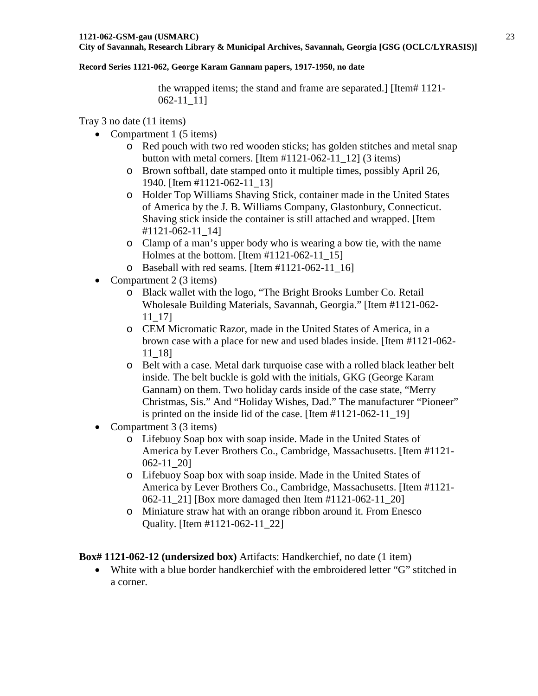### **Record Series 1121-062, George Karam Gannam papers, 1917-1950, no date**

the wrapped items; the stand and frame are separated.] [Item# 1121- 062-11\_11]

Tray 3 no date (11 items)

- Compartment 1 (5 items)
	- o Red pouch with two red wooden sticks; has golden stitches and metal snap button with metal corners. [Item  $\#1121-062-11-12$ ] (3 items)
	- o Brown softball, date stamped onto it multiple times, possibly April 26, 1940. [Item #1121-062-11\_13]
	- o Holder Top Williams Shaving Stick, container made in the United States of America by the J. B. Williams Company, Glastonbury, Connecticut. Shaving stick inside the container is still attached and wrapped. [Item #1121-062-11\_14]
	- o Clamp of a man's upper body who is wearing a bow tie, with the name Holmes at the bottom. [Item #1121-062-11\_15]
	- $\circ$  Baseball with red seams. [Item #1121-062-11 16]
- Compartment 2 (3 items)
	- o Black wallet with the logo, "The Bright Brooks Lumber Co. Retail Wholesale Building Materials, Savannah, Georgia." [Item #1121-062- 11\_17]
	- o CEM Micromatic Razor, made in the United States of America, in a brown case with a place for new and used blades inside. [Item #1121-062- 11\_18]
	- o Belt with a case. Metal dark turquoise case with a rolled black leather belt inside. The belt buckle is gold with the initials, GKG (George Karam Gannam) on them. Two holiday cards inside of the case state, "Merry Christmas, Sis." And "Holiday Wishes, Dad." The manufacturer "Pioneer" is printed on the inside lid of the case. [Item #1121-062-11\_19]
- Compartment 3 (3 items)
	- o Lifebuoy Soap box with soap inside. Made in the United States of America by Lever Brothers Co., Cambridge, Massachusetts. [Item #1121- 062-11\_20]
	- o Lifebuoy Soap box with soap inside. Made in the United States of America by Lever Brothers Co., Cambridge, Massachusetts. [Item #1121- 062-11 21] [Box more damaged then Item #1121-062-11 20]
	- o Miniature straw hat with an orange ribbon around it. From Enesco Quality. [Item #1121-062-11\_22]

**Box# 1121-062-12 (undersized box)** Artifacts: Handkerchief, no date (1 item)

• White with a blue border handkerchief with the embroidered letter "G" stitched in a corner.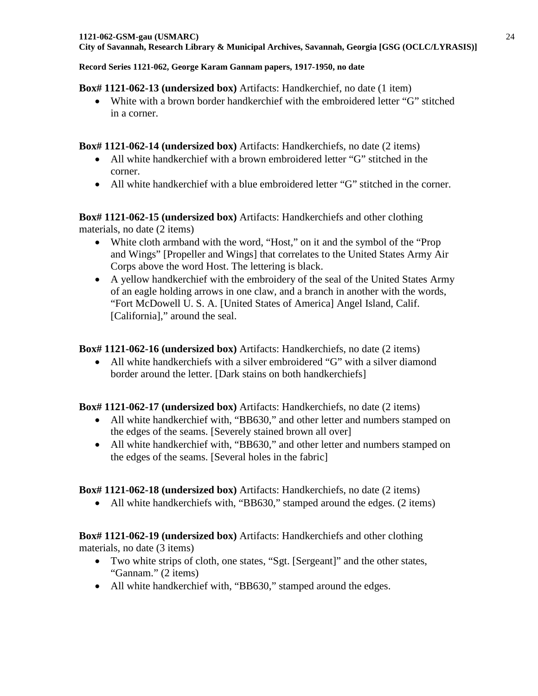### **Box# 1121-062-13 (undersized box)** Artifacts: Handkerchief, no date (1 item)

• White with a brown border handkerchief with the embroidered letter "G" stitched in a corner.

## **Box# 1121-062-14 (undersized box)** Artifacts: Handkerchiefs, no date (2 items)

- All white handkerchief with a brown embroidered letter "G" stitched in the corner.
- All white handkerchief with a blue embroidered letter "G" stitched in the corner.

**Box# 1121-062-15 (undersized box)** Artifacts: Handkerchiefs and other clothing materials, no date (2 items)

- White cloth armband with the word, "Host," on it and the symbol of the "Prop" and Wings" [Propeller and Wings] that correlates to the United States Army Air Corps above the word Host. The lettering is black.
- A yellow handkerchief with the embroidery of the seal of the United States Army of an eagle holding arrows in one claw, and a branch in another with the words, "Fort McDowell U. S. A. [United States of America] Angel Island, Calif. [California]," around the seal.

## **Box# 1121-062-16 (undersized box)** Artifacts: Handkerchiefs, no date (2 items)

• All white handkerchiefs with a silver embroidered "G" with a silver diamond border around the letter. [Dark stains on both handkerchiefs]

## **Box# 1121-062-17 (undersized box)** Artifacts: Handkerchiefs, no date (2 items)

- All white handkerchief with, "BB630," and other letter and numbers stamped on the edges of the seams. [Severely stained brown all over]
- All white handkerchief with, "BB630," and other letter and numbers stamped on the edges of the seams. [Several holes in the fabric]

# **Box# 1121-062-18 (undersized box)** Artifacts: Handkerchiefs, no date (2 items)

• All white handkerchiefs with, "BB630," stamped around the edges. (2 items)

# **Box# 1121-062-19 (undersized box)** Artifacts: Handkerchiefs and other clothing materials, no date (3 items)

- Two white strips of cloth, one states, "Sgt. [Sergeant]" and the other states, "Gannam." (2 items)
- All white handkerchief with, "BB630," stamped around the edges.